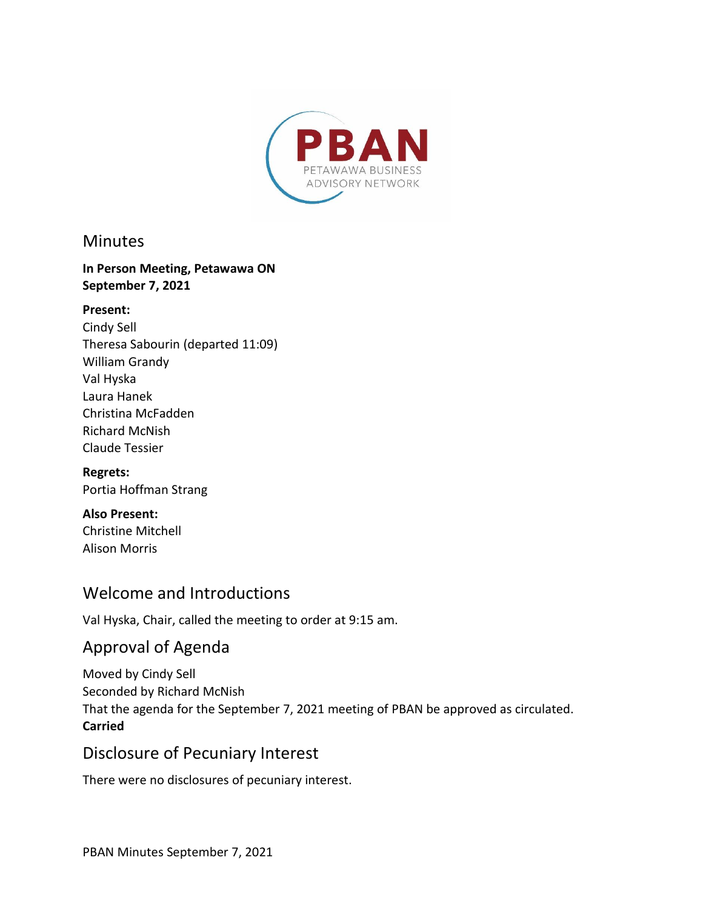

### **Minutes**

#### **In Person Meeting, Petawawa ON September 7, 2021**

#### **Present:**

Cindy Sell Theresa Sabourin (departed 11:09) William Grandy Val Hyska Laura Hanek Christina McFadden Richard McNish Claude Tessier

**Regrets:** Portia Hoffman Strang

**Also Present:**  Christine Mitchell Alison Morris

### Welcome and Introductions

Val Hyska, Chair, called the meeting to order at 9:15 am.

# Approval of Agenda

Moved by Cindy Sell Seconded by Richard McNish That the agenda for the September 7, 2021 meeting of PBAN be approved as circulated. **Carried**

## Disclosure of Pecuniary Interest

There were no disclosures of pecuniary interest.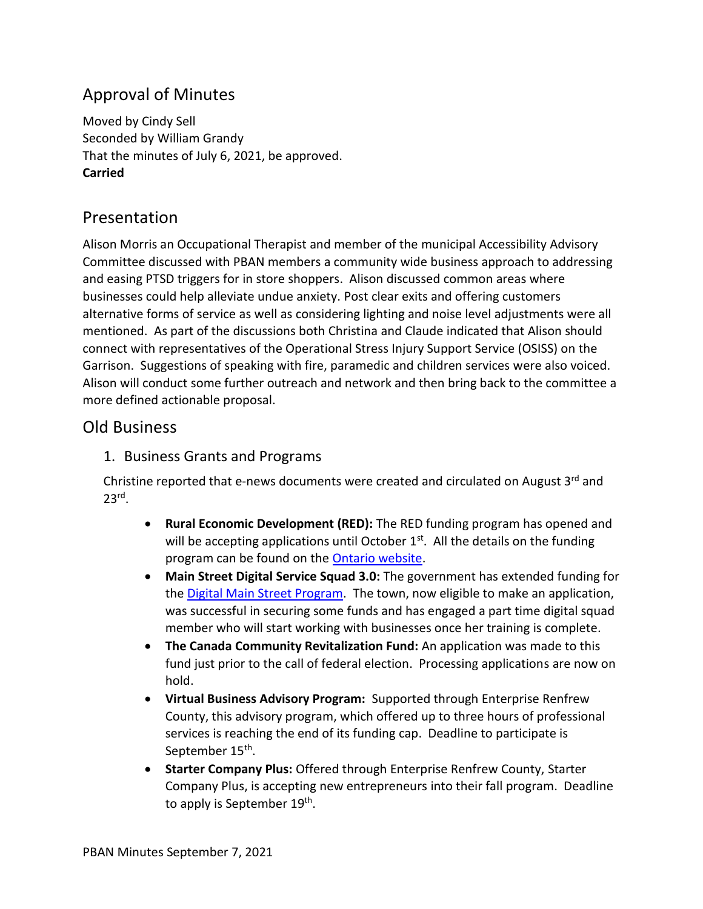# Approval of Minutes

Moved by Cindy Sell Seconded by William Grandy That the minutes of July 6, 2021, be approved. **Carried**

## Presentation

Alison Morris an Occupational Therapist and member of the municipal Accessibility Advisory Committee discussed with PBAN members a community wide business approach to addressing and easing PTSD triggers for in store shoppers. Alison discussed common areas where businesses could help alleviate undue anxiety. Post clear exits and offering customers alternative forms of service as well as considering lighting and noise level adjustments were all mentioned. As part of the discussions both Christina and Claude indicated that Alison should connect with representatives of the Operational Stress Injury Support Service (OSISS) on the Garrison. Suggestions of speaking with fire, paramedic and children services were also voiced. Alison will conduct some further outreach and network and then bring back to the committee a more defined actionable proposal.

### Old Business

1. Business Grants and Programs

Christine reported that e-news documents were created and circulated on August 3rd and 23rd .

- **Rural Economic Development (RED):** The RED funding program has opened and will be accepting applications until October  $1^{st}$ . All the details on the funding program can be found on the **Ontario website**.
- **Main Street Digital Service Squad 3.0:** The government has extended funding for the [Digital Main Street Program.](https://digitalmainstreet.ca/digital-service-squad-grant-3-0/) The town, now eligible to make an application, was successful in securing some funds and has engaged a part time digital squad member who will start working with businesses once her training is complete.
- **The Canada Community Revitalization Fund:** An application was made to this fund just prior to the call of federal election. Processing applications are now on hold.
- **Virtual Business Advisory Program:** Supported through Enterprise Renfrew County, this advisory program, which offered up to three hours of professional services is reaching the end of its funding cap. Deadline to participate is September 15<sup>th</sup>.
- **Starter Company Plus:** Offered through Enterprise Renfrew County, Starter Company Plus, is accepting new entrepreneurs into their fall program. Deadline to apply is September 19<sup>th</sup>.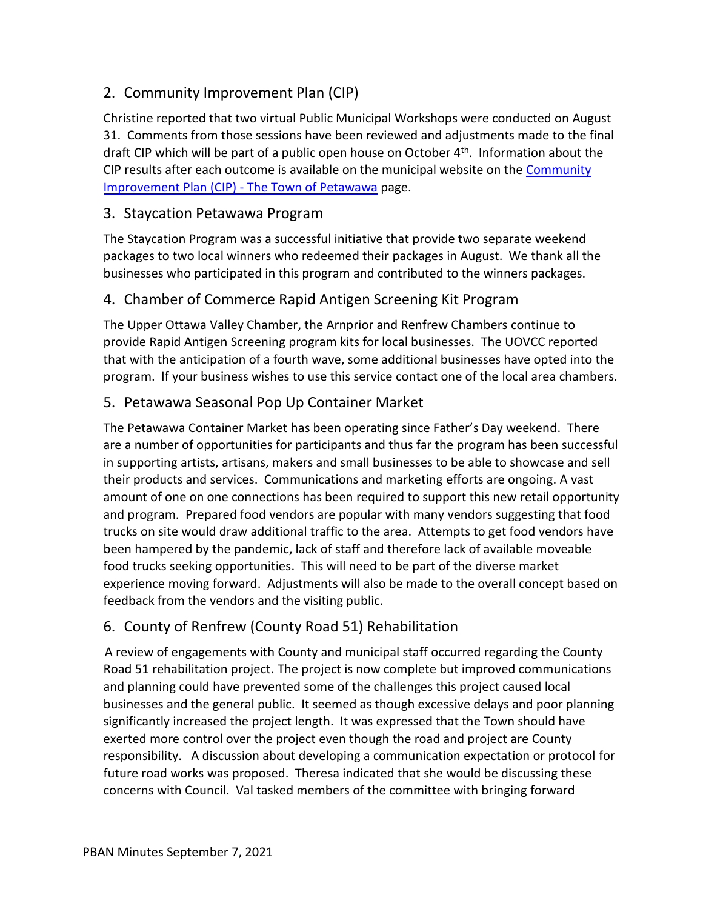### 2. Community Improvement Plan (CIP)

Christine reported that two virtual Public Municipal Workshops were conducted on August 31. Comments from those sessions have been reviewed and adjustments made to the final draft CIP which will be part of a public open house on October 4<sup>th</sup>. Information about the CIP results after each outcome is available on the municipal website on the Community [Improvement Plan \(CIP\) -](https://www.petawawa.ca/business/economic-development/community-improvement-plan-cip/) The Town of Petawawa page.

#### 3. Staycation Petawawa Program

The Staycation Program was a successful initiative that provide two separate weekend packages to two local winners who redeemed their packages in August. We thank all the businesses who participated in this program and contributed to the winners packages.

#### 4. Chamber of Commerce Rapid Antigen Screening Kit Program

The Upper Ottawa Valley Chamber, the Arnprior and Renfrew Chambers continue to provide Rapid Antigen Screening program kits for local businesses. The UOVCC reported that with the anticipation of a fourth wave, some additional businesses have opted into the program. If your business wishes to use this service contact one of the local area chambers.

### 5. Petawawa Seasonal Pop Up Container Market

The Petawawa Container Market has been operating since Father's Day weekend. There are a number of opportunities for participants and thus far the program has been successful in supporting artists, artisans, makers and small businesses to be able to showcase and sell their products and services. Communications and marketing efforts are ongoing. A vast amount of one on one connections has been required to support this new retail opportunity and program. Prepared food vendors are popular with many vendors suggesting that food trucks on site would draw additional traffic to the area. Attempts to get food vendors have been hampered by the pandemic, lack of staff and therefore lack of available moveable food trucks seeking opportunities. This will need to be part of the diverse market experience moving forward. Adjustments will also be made to the overall concept based on feedback from the vendors and the visiting public.

### 6. County of Renfrew (County Road 51) Rehabilitation

A review of engagements with County and municipal staff occurred regarding the County Road 51 rehabilitation project. The project is now complete but improved communications and planning could have prevented some of the challenges this project caused local businesses and the general public. It seemed as though excessive delays and poor planning significantly increased the project length. It was expressed that the Town should have exerted more control over the project even though the road and project are County responsibility. A discussion about developing a communication expectation or protocol for future road works was proposed. Theresa indicated that she would be discussing these concerns with Council. Val tasked members of the committee with bringing forward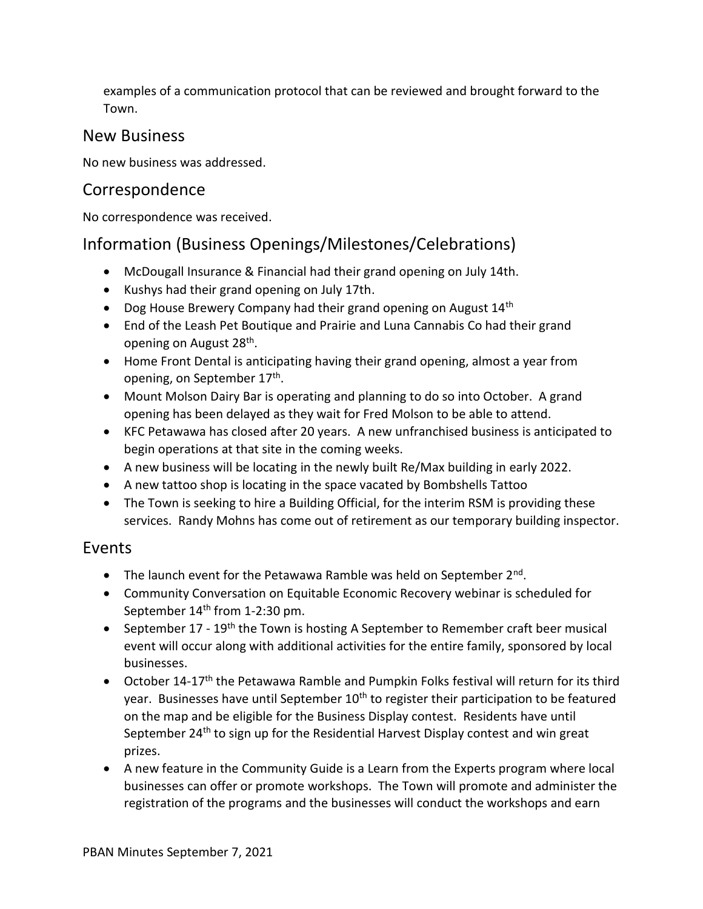examples of a communication protocol that can be reviewed and brought forward to the Town.

### New Business

No new business was addressed.

## Correspondence

No correspondence was received.

## Information (Business Openings/Milestones/Celebrations)

- McDougall Insurance & Financial had their grand opening on July 14th.
- Kushys had their grand opening on July 17th.
- Dog House Brewery Company had their grand opening on August 14<sup>th</sup>
- End of the Leash Pet Boutique and Prairie and Luna Cannabis Co had their grand opening on August 28<sup>th</sup>.
- Home Front Dental is anticipating having their grand opening, almost a year from opening, on September 17<sup>th</sup>.
- Mount Molson Dairy Bar is operating and planning to do so into October. A grand opening has been delayed as they wait for Fred Molson to be able to attend.
- KFC Petawawa has closed after 20 years. A new unfranchised business is anticipated to begin operations at that site in the coming weeks.
- A new business will be locating in the newly built Re/Max building in early 2022.
- A new tattoo shop is locating in the space vacated by Bombshells Tattoo
- The Town is seeking to hire a Building Official, for the interim RSM is providing these services. Randy Mohns has come out of retirement as our temporary building inspector.

### Events

- The launch event for the Petawawa Ramble was held on September 2<sup>nd</sup>.
- Community Conversation on Equitable Economic Recovery webinar is scheduled for September 14<sup>th</sup> from 1-2:30 pm.
- September 17 19<sup>th</sup> the Town is hosting A September to Remember craft beer musical event will occur along with additional activities for the entire family, sponsored by local businesses.
- October 14-17<sup>th</sup> the Petawawa Ramble and Pumpkin Folks festival will return for its third year. Businesses have until September 10<sup>th</sup> to register their participation to be featured on the map and be eligible for the Business Display contest. Residents have until September 24th to sign up for the Residential Harvest Display contest and win great prizes.
- A new feature in the Community Guide is a Learn from the Experts program where local businesses can offer or promote workshops. The Town will promote and administer the registration of the programs and the businesses will conduct the workshops and earn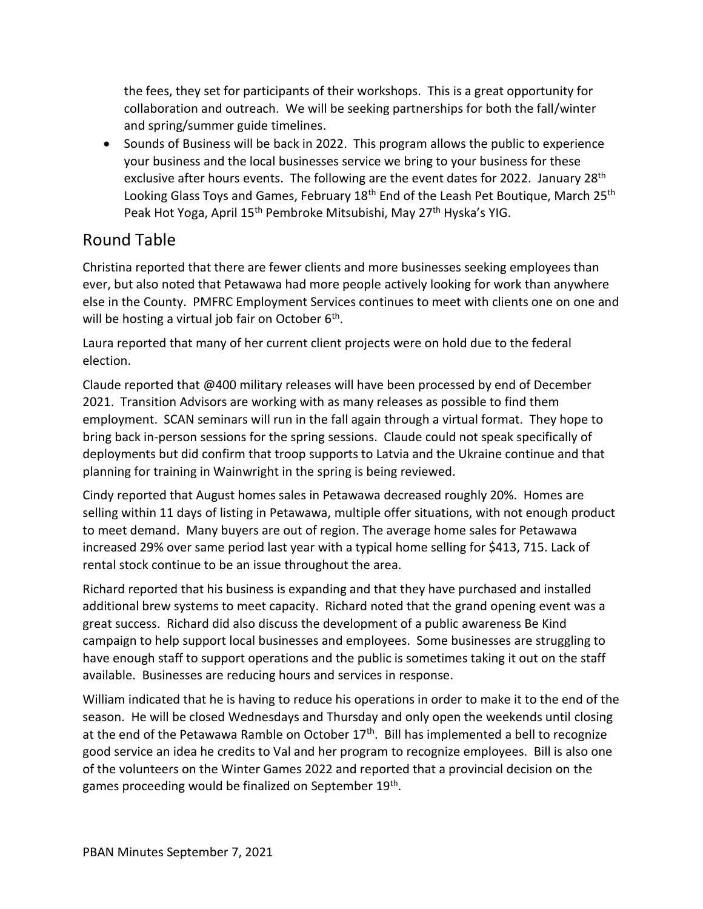the fees, they set for participants of their workshops. This is a great opportunity for collaboration and outreach. We will be seeking partnerships for both the fall/winter and spring/summer guide timelines.

• Sounds of Business will be back in 2022. This program allows the public to experience your business and the local businesses service we bring to your business for these exclusive after hours events. The following are the event dates for 2022. January 28<sup>th</sup> Looking Glass Toys and Games, February  $18<sup>th</sup>$  End of the Leash Pet Boutique, March 25<sup>th</sup> Peak Hot Yoga, April 15<sup>th</sup> Pembroke Mitsubishi, May 27<sup>th</sup> Hyska's YIG.

## Round Table

Christina reported that there are fewer clients and more businesses seeking employees than ever, but also noted that Petawawa had more people actively looking for work than anywhere else in the County. PMFRC Employment Services continues to meet with clients one on one and will be hosting a virtual job fair on October 6<sup>th</sup>.

Laura reported that many of her current client projects were on hold due to the federal election.

Claude reported that @400 military releases will have been processed by end of December 2021. Transition Advisors are working with as many releases as possible to find them employment. SCAN seminars will run in the fall again through a virtual format. They hope to bring back in-person sessions for the spring sessions. Claude could not speak specifically of deployments but did confirm that troop supports to Latvia and the Ukraine continue and that planning for training in Wainwright in the spring is being reviewed.

Cindy reported that August homes sales in Petawawa decreased roughly 20%. Homes are selling within 11 days of listing in Petawawa, multiple offer situations, with not enough product to meet demand. Many buyers are out of region. The average home sales for Petawawa increased 29% over same period last year with a typical home selling for \$413, 715. Lack of rental stock continue to be an issue throughout the area.

Richard reported that his business is expanding and that they have purchased and installed additional brew systems to meet capacity. Richard noted that the grand opening event was a great success. Richard did also discuss the development of a public awareness Be Kind campaign to help support local businesses and employees. Some businesses are struggling to have enough staff to support operations and the public is sometimes taking it out on the staff available. Businesses are reducing hours and services in response.

William indicated that he is having to reduce his operations in order to make it to the end of the season. He will be closed Wednesdays and Thursday and only open the weekends until closing at the end of the Petawawa Ramble on October 17<sup>th</sup>. Bill has implemented a bell to recognize good service an idea he credits to Val and her program to recognize employees. Bill is also one of the volunteers on the Winter Games 2022 and reported that a provincial decision on the games proceeding would be finalized on September 19<sup>th</sup>.